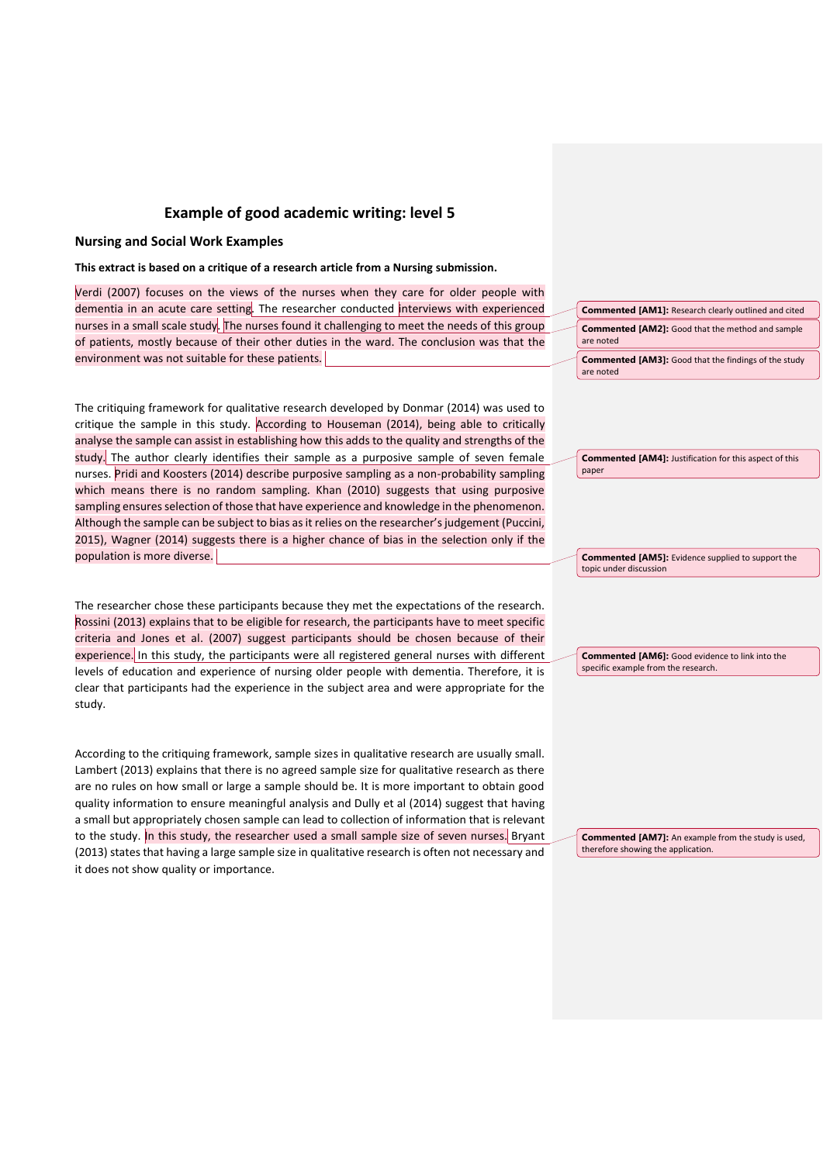# **Example of good academic writing: level 5**

## **Nursing and Social Work Examples**

### **This extract is based on a critique of a research article from a Nursing submission.**

Verdi (2007) focuses on the views of the nurses when they care for older people with dementia in an acute care setting. The researcher conducted interviews with experienced nurses in a small scale study. The nurses found it challenging to meet the needs of this group of patients, mostly because of their other duties in the ward. The conclusion was that the environment was not suitable for these patients.

The critiquing framework for qualitative research developed by Donmar (2014) was used to critique the sample in this study. According to Houseman (2014), being able to critically analyse the sample can assist in establishing how this adds to the quality and strengths of the study. The author clearly identifies their sample as a purposive sample of seven female nurses. Pridi and Koosters (2014) describe purposive sampling as a non-probability sampling which means there is no random sampling. Khan (2010) suggests that using purposive sampling ensures selection of those that have experience and knowledge in the phenomenon. Although the sample can be subject to bias as it relies on the researcher's judgement (Puccini, 2015), Wagner (2014) suggests there is a higher chance of bias in the selection only if the population is more diverse.

The researcher chose these participants because they met the expectations of the research. Rossini (2013) explains that to be eligible for research, the participants have to meet specific criteria and Jones et al. (2007) suggest participants should be chosen because of their experience. In this study, the participants were all registered general nurses with different levels of education and experience of nursing older people with dementia. Therefore, it is clear that participants had the experience in the subject area and were appropriate for the study.

According to the critiquing framework, sample sizes in qualitative research are usually small. Lambert (2013) explains that there is no agreed sample size for qualitative research as there are no rules on how small or large a sample should be. It is more important to obtain good quality information to ensure meaningful analysis and Dully et al (2014) suggest that having a small but appropriately chosen sample can lead to collection of information that is relevant to the study. In this study, the researcher used a small sample size of seven nurses. Bryant (2013) states that having a large sample size in qualitative research is often not necessary and it does not show quality or importance.

**Commented [AM1]:** Research clearly outlined and cited **Commented [AM2]:** Good that the method and sample are noted **Commented [AM3]:** Good that the findings of the study are noted

**Commented [AM4]:** Justification for this aspect of this paper

**Commented [AM5]:** Evidence supplied to support the topic under discussion

**Commented [AM6]:** Good evidence to link into the specific example from the research.

**Commented [AM7]:** An example from the study is used, therefore showing the application.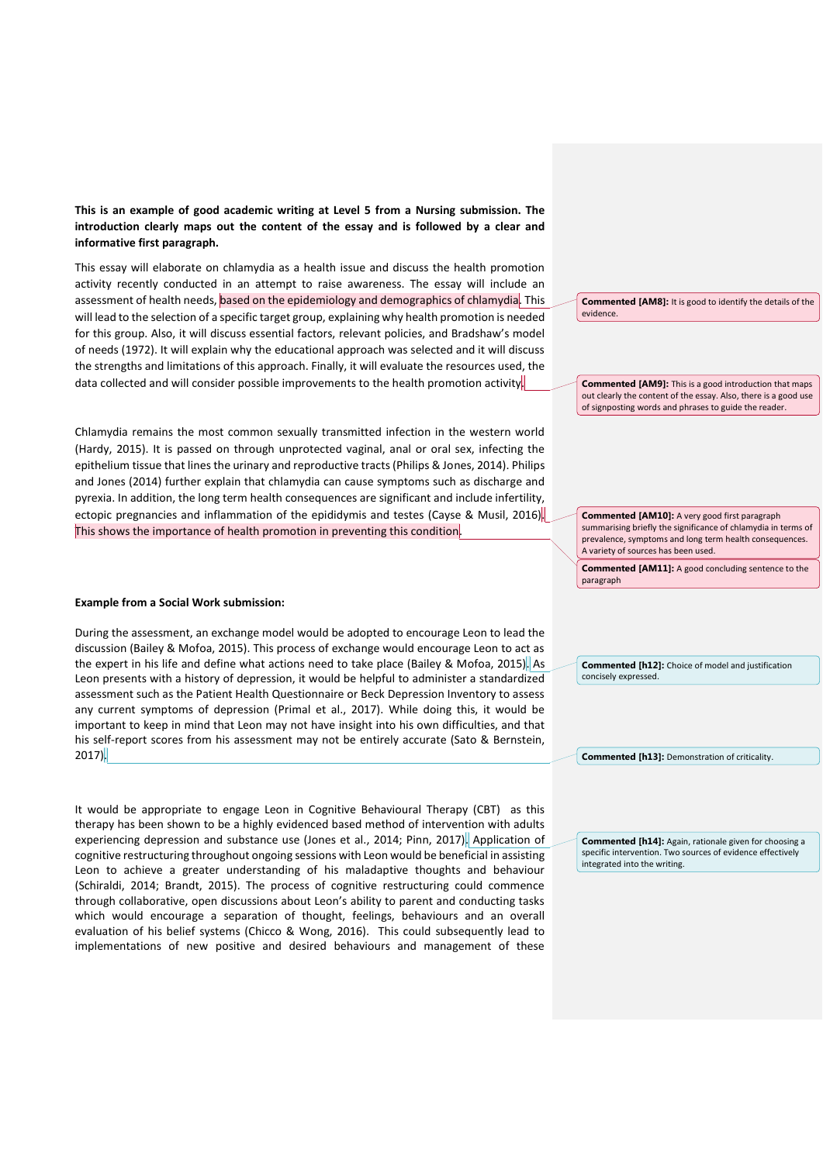**This is an example of good academic writing at Level 5 from a Nursing submission. The introduction clearly maps out the content of the essay and is followed by a clear and informative first paragraph.**

This essay will elaborate on chlamydia as a health issue and discuss the health promotion activity recently conducted in an attempt to raise awareness. The essay will include an assessment of health needs, based on the epidemiology and demographics of chlamydia. This will lead to the selection of a specific target group, explaining why health promotion is needed for this group. Also, it will discuss essential factors, relevant policies, and Bradshaw's model of needs (1972). It will explain why the educational approach was selected and it will discuss the strengths and limitations of this approach. Finally, it will evaluate the resources used, the data collected and will consider possible improvements to the health promotion activity.

Chlamydia remains the most common sexually transmitted infection in the western world (Hardy, 2015). It is passed on through unprotected vaginal, anal or oral sex, infecting the epithelium tissue that lines the urinary and reproductive tracts (Philips & Jones, 2014). Philips and Jones (2014) further explain that chlamydia can cause symptoms such as discharge and pyrexia. In addition, the long term health consequences are significant and include infertility, ectopic pregnancies and inflammation of the epididymis and testes (Cayse & Musil, 2016). This shows the importance of health promotion in preventing this condition.

#### **Example from a Social Work submission:**

During the assessment, an exchange model would be adopted to encourage Leon to lead the discussion (Bailey & Mofoa, 2015). This process of exchange would encourage Leon to act as the expert in his life and define what actions need to take place (Bailey & Mofoa, 2015). As Leon presents with a history of depression, it would be helpful to administer a standardized assessment such as the Patient Health Questionnaire or Beck Depression Inventory to assess any current symptoms of depression (Primal et al., 2017). While doing this, it would be important to keep in mind that Leon may not have insight into his own difficulties, and that his self-report scores from his assessment may not be entirely accurate (Sato & Bernstein, 2017).

It would be appropriate to engage Leon in Cognitive Behavioural Therapy (CBT) as this therapy has been shown to be a highly evidenced based method of intervention with adults experiencing depression and substance use (Jones et al., 2014; Pinn, 2017). Application of cognitive restructuring throughout ongoing sessions with Leon would be beneficial in assisting Leon to achieve a greater understanding of his maladaptive thoughts and behaviour (Schiraldi, 2014; Brandt, 2015). The process of cognitive restructuring could commence through collaborative, open discussions about Leon's ability to parent and conducting tasks which would encourage a separation of thought, feelings, behaviours and an overall evaluation of his belief systems (Chicco & Wong, 2016). This could subsequently lead to implementations of new positive and desired behaviours and management of these

**Commented [AM8]:** It is good to identify the details of the evidence.

**Commented [AM9]:** This is a good introduction that maps out clearly the content of the essay. Also, there is a good use of signposting words and phrases to guide the reader.

**Commented [AM10]:** A very good first paragraph summarising briefly the significance of chlamydia in terms of prevalence, symptoms and long term health consequences. A variety of sources has been used.

**Commented [AM11]:** A good concluding sentence to the paragraph

**Commented [h12]:** Choice of model and justification concisely expressed.

**Commented [h13]:** Demonstration of criticality.

**Commented [h14]:** Again, rationale given for choosing a specific intervention. Two sources of evidence effectively integrated into the writing.